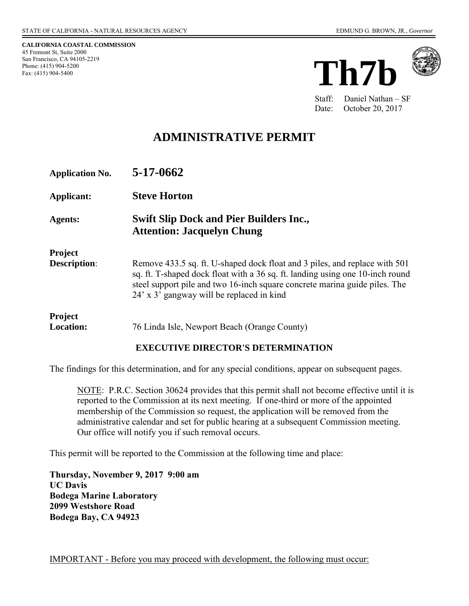**CALIFORNIA COASTAL COMMISSION**  45 Fremont St, Suite 2000 San Francisco, CA 94105-2219 Phone: (415) 904-5200 Fax: (415) 904-5400





Staff: Daniel Nathan – SF Date: October 20, 2017

# **ADMINISTRATIVE PERMIT**

| <b>Application No.</b>                | 5-17-0662                                                                                                                                                                                                                                                                              |
|---------------------------------------|----------------------------------------------------------------------------------------------------------------------------------------------------------------------------------------------------------------------------------------------------------------------------------------|
| Applicant:                            | <b>Steve Horton</b>                                                                                                                                                                                                                                                                    |
| <b>Agents:</b>                        | <b>Swift Slip Dock and Pier Builders Inc.,</b><br><b>Attention: Jacquelyn Chung</b>                                                                                                                                                                                                    |
| <b>Project</b><br><b>Description:</b> | Remove 433.5 sq. ft. U-shaped dock float and 3 piles, and replace with 501<br>sq. ft. T-shaped dock float with a 36 sq. ft. landing using one 10-inch round<br>steel support pile and two 16-inch square concrete marina guide piles. The<br>24' x 3' gangway will be replaced in kind |
| <b>Project</b><br><b>Location:</b>    | 76 Linda Isle, Newport Beach (Orange County)                                                                                                                                                                                                                                           |

#### **EXECUTIVE DIRECTOR'S DETERMINATION**

The findings for this determination, and for any special conditions, appear on subsequent pages.

NOTE: P.R.C. Section 30624 provides that this permit shall not become effective until it is reported to the Commission at its next meeting. If one-third or more of the appointed membership of the Commission so request, the application will be removed from the administrative calendar and set for public hearing at a subsequent Commission meeting. Our office will notify you if such removal occurs.

This permit will be reported to the Commission at the following time and place:

**Thursday, November 9, 2017 9:00 am UC Davis Bodega Marine Laboratory 2099 Westshore Road Bodega Bay, CA 94923**

IMPORTANT - Before you may proceed with development, the following must occur: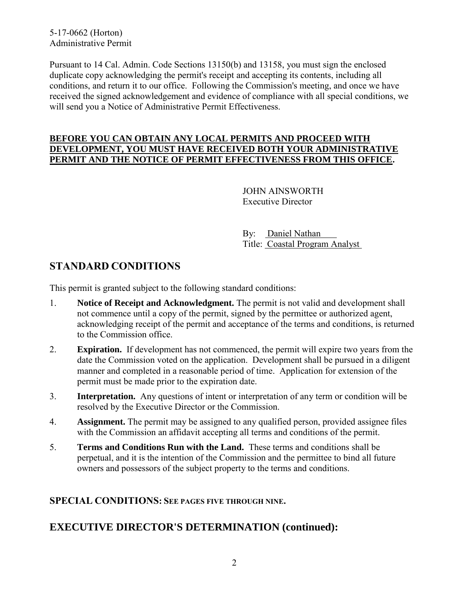5-17-0662 (Horton) Administrative Permit

Pursuant to 14 Cal. Admin. Code Sections 13150(b) and 13158, you must sign the enclosed duplicate copy acknowledging the permit's receipt and accepting its contents, including all conditions, and return it to our office. Following the Commission's meeting, and once we have received the signed acknowledgement and evidence of compliance with all special conditions, we will send you a Notice of Administrative Permit Effectiveness.

#### **BEFORE YOU CAN OBTAIN ANY LOCAL PERMITS AND PROCEED WITH DEVELOPMENT, YOU MUST HAVE RECEIVED BOTH YOUR ADMINISTRATIVE PERMIT AND THE NOTICE OF PERMIT EFFECTIVENESS FROM THIS OFFICE.**

 JOHN AINSWORTH Executive Director

 By: Daniel Nathan Title: Coastal Program Analyst

## **STANDARD CONDITIONS**

This permit is granted subject to the following standard conditions:

- 1. **Notice of Receipt and Acknowledgment.** The permit is not valid and development shall not commence until a copy of the permit, signed by the permittee or authorized agent, acknowledging receipt of the permit and acceptance of the terms and conditions, is returned to the Commission office.
- 2. **Expiration.** If development has not commenced, the permit will expire two years from the date the Commission voted on the application. Development shall be pursued in a diligent manner and completed in a reasonable period of time. Application for extension of the permit must be made prior to the expiration date.
- 3. **Interpretation.** Any questions of intent or interpretation of any term or condition will be resolved by the Executive Director or the Commission.
- 4. **Assignment.** The permit may be assigned to any qualified person, provided assignee files with the Commission an affidavit accepting all terms and conditions of the permit.
- 5. **Terms and Conditions Run with the Land.** These terms and conditions shall be perpetual, and it is the intention of the Commission and the permittee to bind all future owners and possessors of the subject property to the terms and conditions.

### **SPECIAL CONDITIONS: SEE PAGES FIVE THROUGH NINE.**

# **EXECUTIVE DIRECTOR'S DETERMINATION (continued):**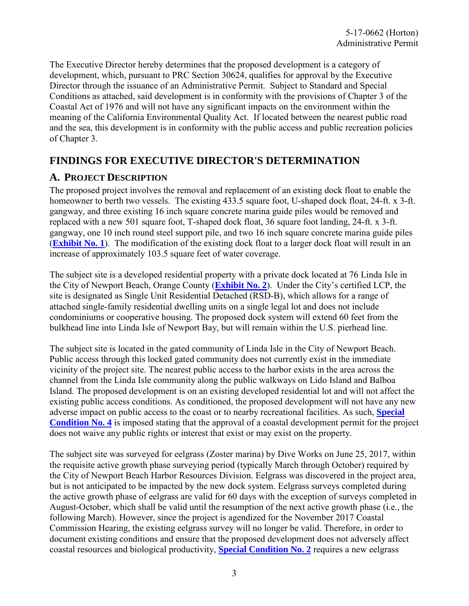The Executive Director hereby determines that the proposed development is a category of development, which, pursuant to PRC Section 30624, qualifies for approval by the Executive Director through the issuance of an Administrative Permit. Subject to Standard and Special Conditions as attached, said development is in conformity with the provisions of Chapter 3 of the Coastal Act of 1976 and will not have any significant impacts on the environment within the meaning of the California Environmental Quality Act. If located between the nearest public road and the sea, this development is in conformity with the public access and public recreation policies of Chapter 3.

## **FINDINGS FOR EXECUTIVE DIRECTOR'S DETERMINATION**

### **A. PROJECT DESCRIPTION**

The proposed project involves the removal and replacement of an existing dock float to enable the homeowner to berth two vessels. The existing 433.5 square foot, U-shaped dock float, 24-ft. x 3-ft. gangway, and three existing 16 inch square concrete marina guide piles would be removed and replaced with a new 501 square foot, T-shaped dock float, 36 square foot landing, 24-ft. x 3-ft. gangway, one 10 inch round steel support pile, and two 16 inch square concrete marina guide piles (**[Exhibit No. 1](https://documents.coastal.ca.gov/reports/2017/11/th7b/th7b-11-2017-exhibits.pdf)**). The modification of the existing dock float to a larger dock float will result in an increase of approximately 103.5 square feet of water coverage.

The subject site is a developed residential property with a private dock located at 76 Linda Isle in the City of Newport Beach, Orange County (**[Exhibit No. 2](https://documents.coastal.ca.gov/reports/2017/11/th7b/th7b-11-2017-exhibits.pdf)**). Under the City's certified LCP, the site is designated as Single Unit Residential Detached (RSD-B), which allows for a range of attached single-family residential dwelling units on a single legal lot and does not include condominiums or cooperative housing. The proposed dock system will extend 60 feet from the bulkhead line into Linda Isle of Newport Bay, but will remain within the U.S. pierhead line.

The subject site is located in the gated community of Linda Isle in the City of Newport Beach. Public access through this locked gated community does not currently exist in the immediate vicinity of the project site. The nearest public access to the harbor exists in the area across the channel from the Linda Isle community along the public walkways on Lido Island and Balboa Island. The proposed development is on an existing developed residential lot and will not affect the existing public access conditions. As conditioned, the proposed development will not have any new adverse impact on public access to the coast or to nearby recreational facilities. As such, **[Special](#page-8-0)  [Condition No. 4](#page-8-0)** is imposed stating that the approval of a coastal development permit for the project does not waive any public rights or interest that exist or may exist on the property.

The subject site was surveyed for eelgrass (Zoster marina) by Dive Works on June 25, 2017, within the requisite active growth phase surveying period (typically March through October) required by the City of Newport Beach Harbor Resources Division. Eelgrass was discovered in the project area, but is not anticipated to be impacted by the new dock system. Eelgrass surveys completed during the active growth phase of eelgrass are valid for 60 days with the exception of surveys completed in August-October, which shall be valid until the resumption of the next active growth phase (i.e., the following March). However, since the project is agendized for the November 2017 Coastal Commission Hearing, the existing eelgrass survey will no longer be valid. Therefore, in order to document existing conditions and ensure that the proposed development does not adversely affect coastal resources and biological productivity, **[Special Condition No. 2](#page-6-0)** requires a new eelgrass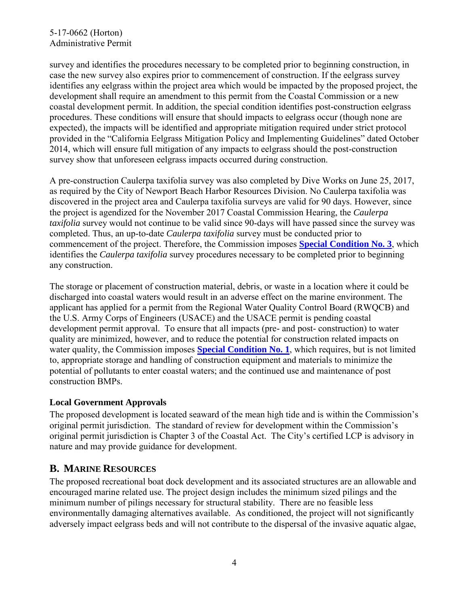### 5-17-0662 (Horton) Administrative Permit

survey and identifies the procedures necessary to be completed prior to beginning construction, in case the new survey also expires prior to commencement of construction. If the eelgrass survey identifies any eelgrass within the project area which would be impacted by the proposed project, the development shall require an amendment to this permit from the Coastal Commission or a new coastal development permit. In addition, the special condition identifies post-construction eelgrass procedures. These conditions will ensure that should impacts to eelgrass occur (though none are expected), the impacts will be identified and appropriate mitigation required under strict protocol provided in the "California Eelgrass Mitigation Policy and Implementing Guidelines" dated October 2014, which will ensure full mitigation of any impacts to eelgrass should the post-construction survey show that unforeseen eelgrass impacts occurred during construction.

A pre-construction Caulerpa taxifolia survey was also completed by Dive Works on June 25, 2017, as required by the City of Newport Beach Harbor Resources Division. No Caulerpa taxifolia was discovered in the project area and Caulerpa taxifolia surveys are valid for 90 days. However, since the project is agendized for the November 2017 Coastal Commission Hearing, the *Caulerpa taxifolia* survey would not continue to be valid since 90-days will have passed since the survey was completed. Thus, an up-to-date *Caulerpa taxifolia* survey must be conducted prior to commencement of the project. Therefore, the Commission imposes **[Special Condition No. 3](#page-7-0)**, which identifies the *Caulerpa taxifolia* survey procedures necessary to be completed prior to beginning any construction.

The storage or placement of construction material, debris, or waste in a location where it could be discharged into coastal waters would result in an adverse effect on the marine environment. The applicant has applied for a permit from the Regional Water Quality Control Board (RWQCB) and the U.S. Army Corps of Engineers (USACE) and the USACE permit is pending coastal development permit approval. To ensure that all impacts (pre- and post- construction) to water quality are minimized, however, and to reduce the potential for construction related impacts on water quality, the Commission imposes **[Special Condition No. 1](#page-4-0)**, which requires, but is not limited to, appropriate storage and handling of construction equipment and materials to minimize the potential of pollutants to enter coastal waters; and the continued use and maintenance of post construction BMPs.

### **Local Government Approvals**

The proposed development is located seaward of the mean high tide and is within the Commission's original permit jurisdiction. The standard of review for development within the Commission's original permit jurisdiction is Chapter 3 of the Coastal Act. The City's certified LCP is advisory in nature and may provide guidance for development.

### **B. MARINE RESOURCES**

The proposed recreational boat dock development and its associated structures are an allowable and encouraged marine related use. The project design includes the minimum sized pilings and the minimum number of pilings necessary for structural stability. There are no feasible less environmentally damaging alternatives available. As conditioned, the project will not significantly adversely impact eelgrass beds and will not contribute to the dispersal of the invasive aquatic algae,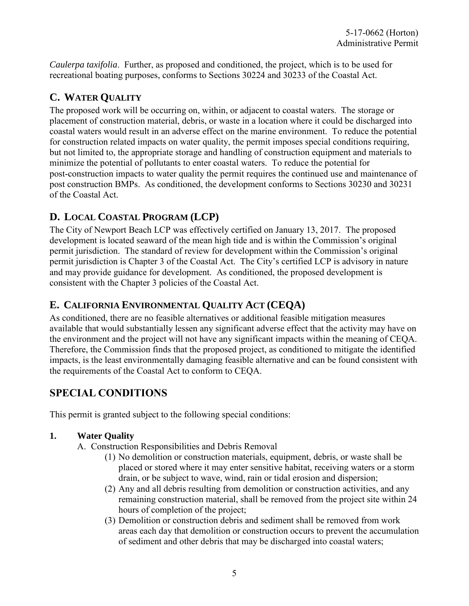*Caulerpa taxifolia*. Further, as proposed and conditioned, the project, which is to be used for recreational boating purposes, conforms to Sections 30224 and 30233 of the Coastal Act.

# **C. WATER QUALITY**

The proposed work will be occurring on, within, or adjacent to coastal waters. The storage or placement of construction material, debris, or waste in a location where it could be discharged into coastal waters would result in an adverse effect on the marine environment. To reduce the potential for construction related impacts on water quality, the permit imposes special conditions requiring, but not limited to, the appropriate storage and handling of construction equipment and materials to minimize the potential of pollutants to enter coastal waters. To reduce the potential for post-construction impacts to water quality the permit requires the continued use and maintenance of post construction BMPs. As conditioned, the development conforms to Sections 30230 and 30231 of the Coastal Act.

# **D. LOCAL COASTAL PROGRAM (LCP)**

The City of Newport Beach LCP was effectively certified on January 13, 2017. The proposed development is located seaward of the mean high tide and is within the Commission's original permit jurisdiction. The standard of review for development within the Commission's original permit jurisdiction is Chapter 3 of the Coastal Act. The City's certified LCP is advisory in nature and may provide guidance for development. As conditioned, the proposed development is consistent with the Chapter 3 policies of the Coastal Act.

## **E. CALIFORNIA ENVIRONMENTAL QUALITY ACT (CEQA)**

As conditioned, there are no feasible alternatives or additional feasible mitigation measures available that would substantially lessen any significant adverse effect that the activity may have on the environment and the project will not have any significant impacts within the meaning of CEQA. Therefore, the Commission finds that the proposed project, as conditioned to mitigate the identified impacts, is the least environmentally damaging feasible alternative and can be found consistent with the requirements of the Coastal Act to conform to CEQA.

# **SPECIAL CONDITIONS**

This permit is granted subject to the following special conditions:

## <span id="page-4-0"></span>**1. Water Quality**

- A. Construction Responsibilities and Debris Removal
	- (1) No demolition or construction materials, equipment, debris, or waste shall be placed or stored where it may enter sensitive habitat, receiving waters or a storm drain, or be subject to wave, wind, rain or tidal erosion and dispersion;
	- (2) Any and all debris resulting from demolition or construction activities, and any remaining construction material, shall be removed from the project site within 24 hours of completion of the project;
	- (3) Demolition or construction debris and sediment shall be removed from work areas each day that demolition or construction occurs to prevent the accumulation of sediment and other debris that may be discharged into coastal waters;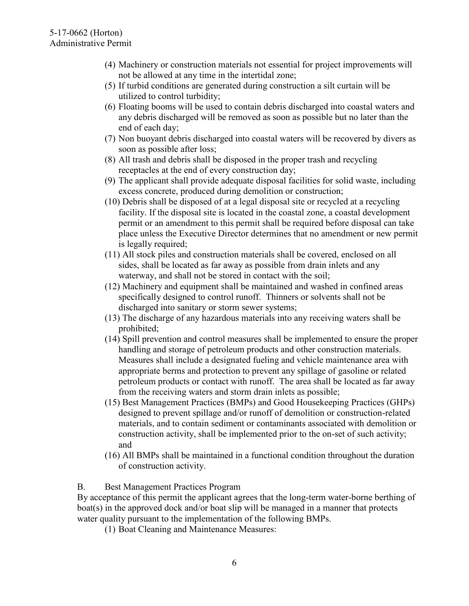- (4) Machinery or construction materials not essential for project improvements will not be allowed at any time in the intertidal zone;
- (5) If turbid conditions are generated during construction a silt curtain will be utilized to control turbidity;
- (6) Floating booms will be used to contain debris discharged into coastal waters and any debris discharged will be removed as soon as possible but no later than the end of each day;
- (7) Non buoyant debris discharged into coastal waters will be recovered by divers as soon as possible after loss;
- (8) All trash and debris shall be disposed in the proper trash and recycling receptacles at the end of every construction day;
- (9) The applicant shall provide adequate disposal facilities for solid waste, including excess concrete, produced during demolition or construction;
- (10) Debris shall be disposed of at a legal disposal site or recycled at a recycling facility. If the disposal site is located in the coastal zone, a coastal development permit or an amendment to this permit shall be required before disposal can take place unless the Executive Director determines that no amendment or new permit is legally required;
- (11) All stock piles and construction materials shall be covered, enclosed on all sides, shall be located as far away as possible from drain inlets and any waterway, and shall not be stored in contact with the soil;
- (12) Machinery and equipment shall be maintained and washed in confined areas specifically designed to control runoff. Thinners or solvents shall not be discharged into sanitary or storm sewer systems;
- (13) The discharge of any hazardous materials into any receiving waters shall be prohibited;
- (14) Spill prevention and control measures shall be implemented to ensure the proper handling and storage of petroleum products and other construction materials. Measures shall include a designated fueling and vehicle maintenance area with appropriate berms and protection to prevent any spillage of gasoline or related petroleum products or contact with runoff. The area shall be located as far away from the receiving waters and storm drain inlets as possible;
- (15) Best Management Practices (BMPs) and Good Housekeeping Practices (GHPs) designed to prevent spillage and/or runoff of demolition or construction-related materials, and to contain sediment or contaminants associated with demolition or construction activity, shall be implemented prior to the on-set of such activity; and
- (16) All BMPs shall be maintained in a functional condition throughout the duration of construction activity.

B. Best Management Practices Program

By acceptance of this permit the applicant agrees that the long-term water-borne berthing of boat(s) in the approved dock and/or boat slip will be managed in a manner that protects water quality pursuant to the implementation of the following BMPs.

(1) Boat Cleaning and Maintenance Measures: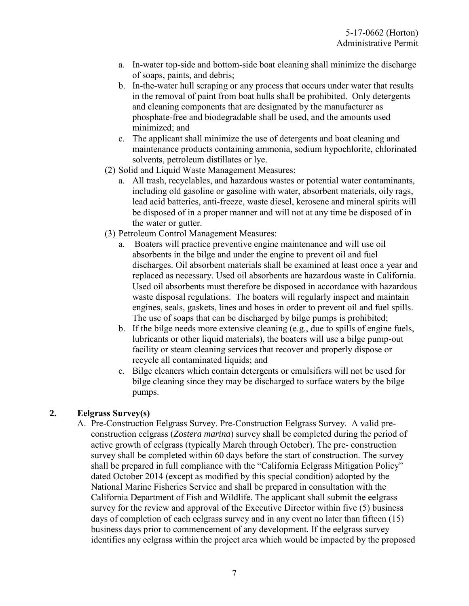- a. In-water top-side and bottom-side boat cleaning shall minimize the discharge of soaps, paints, and debris;
- b. In-the-water hull scraping or any process that occurs under water that results in the removal of paint from boat hulls shall be prohibited. Only detergents and cleaning components that are designated by the manufacturer as phosphate-free and biodegradable shall be used, and the amounts used minimized; and
- c. The applicant shall minimize the use of detergents and boat cleaning and maintenance products containing ammonia, sodium hypochlorite, chlorinated solvents, petroleum distillates or lye.
- (2) Solid and Liquid Waste Management Measures:
	- a. All trash, recyclables, and hazardous wastes or potential water contaminants, including old gasoline or gasoline with water, absorbent materials, oily rags, lead acid batteries, anti-freeze, waste diesel, kerosene and mineral spirits will be disposed of in a proper manner and will not at any time be disposed of in the water or gutter.
- (3) Petroleum Control Management Measures:
	- a. Boaters will practice preventive engine maintenance and will use oil absorbents in the bilge and under the engine to prevent oil and fuel discharges. Oil absorbent materials shall be examined at least once a year and replaced as necessary. Used oil absorbents are hazardous waste in California. Used oil absorbents must therefore be disposed in accordance with hazardous waste disposal regulations. The boaters will regularly inspect and maintain engines, seals, gaskets, lines and hoses in order to prevent oil and fuel spills. The use of soaps that can be discharged by bilge pumps is prohibited;
	- b. If the bilge needs more extensive cleaning (e.g., due to spills of engine fuels, lubricants or other liquid materials), the boaters will use a bilge pump-out facility or steam cleaning services that recover and properly dispose or recycle all contaminated liquids; and
	- c. Bilge cleaners which contain detergents or emulsifiers will not be used for bilge cleaning since they may be discharged to surface waters by the bilge pumps.

### <span id="page-6-0"></span>**2. Eelgrass Survey(s)**

A. Pre-Construction Eelgrass Survey. Pre-Construction Eelgrass Survey. A valid preconstruction eelgrass (*Zostera marina*) survey shall be completed during the period of active growth of eelgrass (typically March through October). The pre- construction survey shall be completed within 60 days before the start of construction. The survey shall be prepared in full compliance with the "California Eelgrass Mitigation Policy" dated October 2014 (except as modified by this special condition) adopted by the National Marine Fisheries Service and shall be prepared in consultation with the California Department of Fish and Wildlife. The applicant shall submit the eelgrass survey for the review and approval of the Executive Director within five (5) business days of completion of each eelgrass survey and in any event no later than fifteen (15) business days prior to commencement of any development. If the eelgrass survey identifies any eelgrass within the project area which would be impacted by the proposed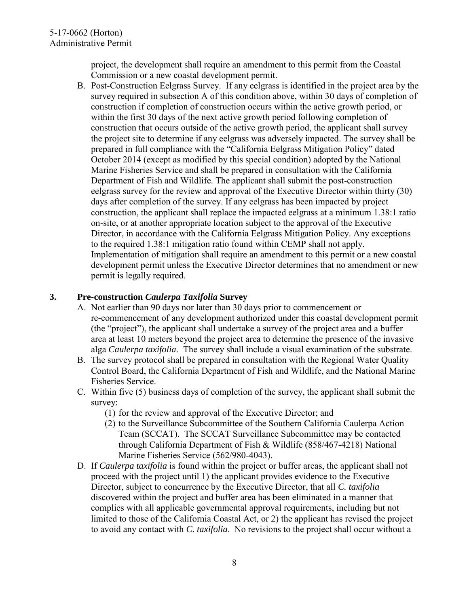project, the development shall require an amendment to this permit from the Coastal Commission or a new coastal development permit.

B. Post-Construction Eelgrass Survey. If any eelgrass is identified in the project area by the survey required in subsection A of this condition above, within 30 days of completion of construction if completion of construction occurs within the active growth period, or within the first 30 days of the next active growth period following completion of construction that occurs outside of the active growth period, the applicant shall survey the project site to determine if any eelgrass was adversely impacted. The survey shall be prepared in full compliance with the "California Eelgrass Mitigation Policy" dated October 2014 (except as modified by this special condition) adopted by the National Marine Fisheries Service and shall be prepared in consultation with the California Department of Fish and Wildlife. The applicant shall submit the post-construction eelgrass survey for the review and approval of the Executive Director within thirty (30) days after completion of the survey. If any eelgrass has been impacted by project construction, the applicant shall replace the impacted eelgrass at a minimum 1.38:1 ratio on-site, or at another appropriate location subject to the approval of the Executive Director, in accordance with the California Eelgrass Mitigation Policy. Any exceptions to the required 1.38:1 mitigation ratio found within CEMP shall not apply. Implementation of mitigation shall require an amendment to this permit or a new coastal development permit unless the Executive Director determines that no amendment or new permit is legally required.

### <span id="page-7-0"></span>**3. Pre-construction** *Caulerpa Taxifolia* **Survey**

- A. Not earlier than 90 days nor later than 30 days prior to commencement or re-commencement of any development authorized under this coastal development permit (the "project"), the applicant shall undertake a survey of the project area and a buffer area at least 10 meters beyond the project area to determine the presence of the invasive alga *Caulerpa taxifolia*. The survey shall include a visual examination of the substrate.
- B. The survey protocol shall be prepared in consultation with the Regional Water Quality Control Board, the California Department of Fish and Wildlife, and the National Marine Fisheries Service.
- C. Within five (5) business days of completion of the survey, the applicant shall submit the survey:
	- (1) for the review and approval of the Executive Director; and
	- (2) to the Surveillance Subcommittee of the Southern California Caulerpa Action Team (SCCAT). The SCCAT Surveillance Subcommittee may be contacted through California Department of Fish & Wildlife (858/467-4218) National Marine Fisheries Service (562/980-4043).
- D. If *Caulerpa taxifolia* is found within the project or buffer areas, the applicant shall not proceed with the project until 1) the applicant provides evidence to the Executive Director, subject to concurrence by the Executive Director, that all *C. taxifolia* discovered within the project and buffer area has been eliminated in a manner that complies with all applicable governmental approval requirements, including but not limited to those of the California Coastal Act, or 2) the applicant has revised the project to avoid any contact with *C. taxifolia*. No revisions to the project shall occur without a